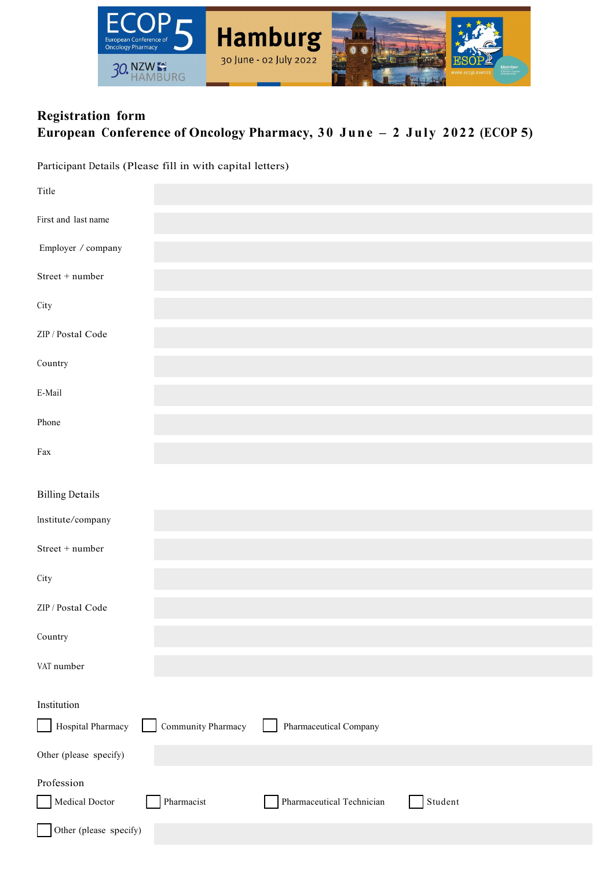

## **Registration form European Conference of Oncology Pharmacy, 30 June – 2 July 2022 (ECOP 5)**

Participant Details (Please fill in with capital letters)

| Title                  |                    |                           |         |
|------------------------|--------------------|---------------------------|---------|
| First and last name    |                    |                           |         |
| Employer / company     |                    |                           |         |
| $Street + number$      |                    |                           |         |
| City                   |                    |                           |         |
| ZIP / Postal Code      |                    |                           |         |
| Country                |                    |                           |         |
| E-Mail                 |                    |                           |         |
| Phone                  |                    |                           |         |
| Fax                    |                    |                           |         |
|                        |                    |                           |         |
| <b>Billing Details</b> |                    |                           |         |
| Institute/company      |                    |                           |         |
| Street + number        |                    |                           |         |
| City                   |                    |                           |         |
| ZIP / Postal Code      |                    |                           |         |
| Country                |                    |                           |         |
| VAT number             |                    |                           |         |
|                        |                    |                           |         |
| Institution            |                    |                           |         |
| Hospital Pharmacy      | Community Pharmacy | Pharmaceutical Company    |         |
| Other (please specify) |                    |                           |         |
| Profession             |                    |                           |         |
| Medical Doctor         | Pharmacist         | Pharmaceutical Technician | Student |
| Other (please specify) |                    |                           |         |